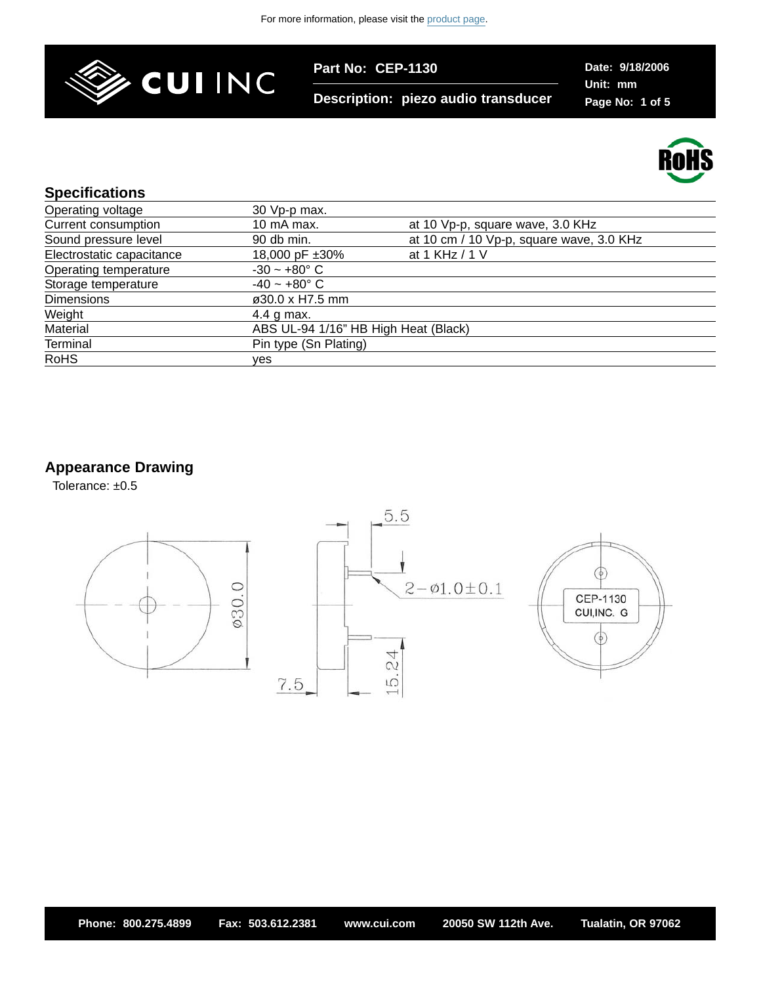

**Description: piezo audio transducer**

**Date: 9/18/2006 Unit: mm Page No: 1 of 5**



#### **Specifications**

| Operating voltage         | 30 Vp-p max.                         |                                          |
|---------------------------|--------------------------------------|------------------------------------------|
| Current consumption       | 10 mA max.                           | at 10 Vp-p, square wave, 3.0 KHz         |
| Sound pressure level      | 90 db min.                           | at 10 cm / 10 Vp-p, square wave, 3.0 KHz |
| Electrostatic capacitance | 18,000 pF ±30%                       | at 1 KHz / 1 V                           |
| Operating temperature     | $-30 - +80^{\circ}$ C                |                                          |
| Storage temperature       | $-40 - +80$ °C                       |                                          |
| <b>Dimensions</b>         | ø30.0 x H7.5 mm                      |                                          |
| Weight                    | 4.4 g max.                           |                                          |
| Material                  | ABS UL-94 1/16" HB High Heat (Black) |                                          |
| <b>Terminal</b>           | Pin type (Sn Plating)                |                                          |
| <b>RoHS</b>               | ves                                  |                                          |
|                           |                                      |                                          |

## **Appearance Drawing**

Tolerance: ±0.5

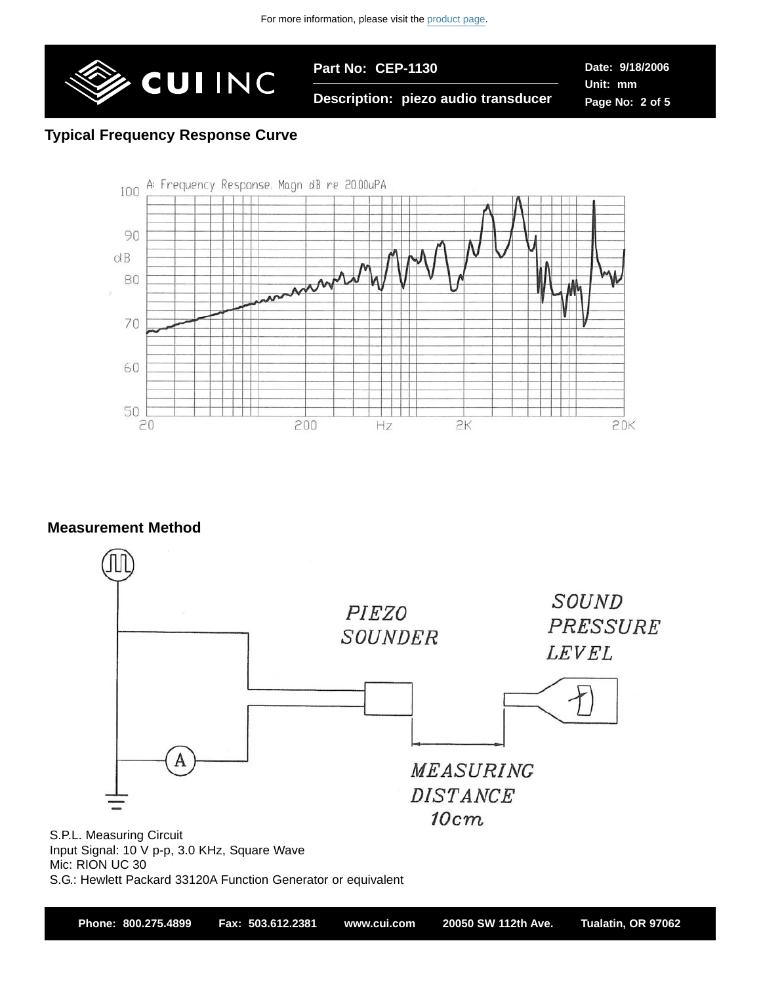

**Date: 9/18/2006 Unit: mm Page No: 2 of 5**

#### **Description: piezo audio transducer**

### **Typical Frequency Response Curve**



#### **Measurement Method**



S.G.: Hewlett Packard 33120A Function Generator or equivalent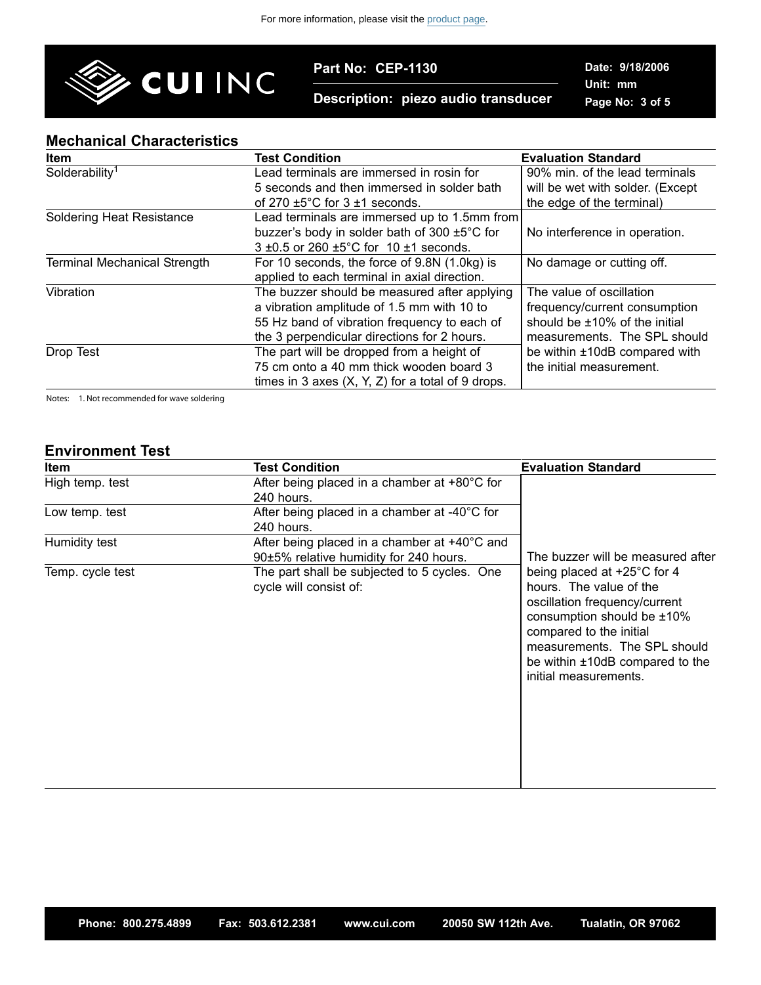

**Description: piezo audio transducer**

**Date: 9/18/2006 Unit: mm Page No: 3 of 5**

#### **Mechanical Characteristics**

| <b>Item</b>                         | <b>Test Condition</b>                                    | <b>Evaluation Standard</b>       |
|-------------------------------------|----------------------------------------------------------|----------------------------------|
| Solderability <sup>1</sup>          | Lead terminals are immersed in rosin for                 | 90% min. of the lead terminals   |
|                                     | 5 seconds and then immersed in solder bath               | will be wet with solder. (Except |
|                                     | of 270 $\pm$ 5°C for 3 $\pm$ 1 seconds.                  | the edge of the terminal)        |
| <b>Soldering Heat Resistance</b>    | Lead terminals are immersed up to 1.5mm from             |                                  |
|                                     | buzzer's body in solder bath of 300 ±5°C for             | No interference in operation.    |
|                                     | $3\pm0.5$ or 260 $\pm5^{\circ}$ C for 10 $\pm1$ seconds. |                                  |
| <b>Terminal Mechanical Strength</b> | For 10 seconds, the force of 9.8N (1.0kg) is             | No damage or cutting off.        |
|                                     | applied to each terminal in axial direction.             |                                  |
| Vibration                           | The buzzer should be measured after applying             | The value of oscillation         |
|                                     | a vibration amplitude of 1.5 mm with 10 to               | frequency/current consumption    |
|                                     | 55 Hz band of vibration frequency to each of             | should be ±10% of the initial    |
|                                     | the 3 perpendicular directions for 2 hours.              | measurements. The SPL should     |
| Drop Test                           | The part will be dropped from a height of                | be within ±10dB compared with    |
|                                     | 75 cm onto a 40 mm thick wooden board 3                  | the initial measurement.         |
|                                     | times in 3 axes $(X, Y, Z)$ for a total of 9 drops.      |                                  |

Notes: 1. Not recommended for wave soldering

#### **Environment Test**

| <b>Item</b>      | <b>Test Condition</b>                                                                  | <b>Evaluation Standard</b>                                                                                                                                                                                                                                |  |
|------------------|----------------------------------------------------------------------------------------|-----------------------------------------------------------------------------------------------------------------------------------------------------------------------------------------------------------------------------------------------------------|--|
| High temp. test  | After being placed in a chamber at $+80^{\circ}$ C for<br>240 hours.                   |                                                                                                                                                                                                                                                           |  |
| Low temp. test   | After being placed in a chamber at -40°C for<br>240 hours.                             |                                                                                                                                                                                                                                                           |  |
| Humidity test    | After being placed in a chamber at +40°C and<br>90±5% relative humidity for 240 hours. | The buzzer will be measured after                                                                                                                                                                                                                         |  |
| Temp. cycle test | The part shall be subjected to 5 cycles. One<br>cycle will consist of:                 | being placed at $+25^{\circ}$ C for 4<br>hours. The value of the<br>oscillation frequency/current<br>consumption should be $±10\%$<br>compared to the initial<br>measurements. The SPL should<br>be within ±10dB compared to the<br>initial measurements. |  |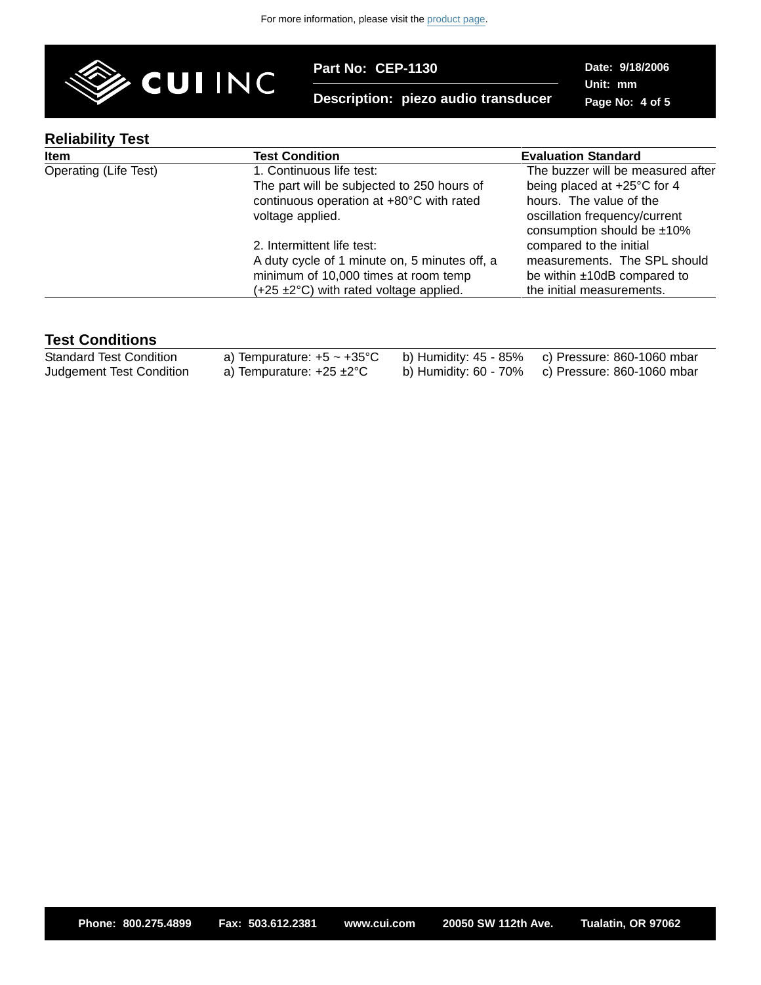

**Description: piezo audio transducer**

**Date: 9/18/2006 Unit: mm Page No: 4 of 5**

# **Reliability Test**

| <b>INGIIANIIILY IGSL</b> |                                                    |                                                          |
|--------------------------|----------------------------------------------------|----------------------------------------------------------|
| Item                     | <b>Test Condition</b>                              | <b>Evaluation Standard</b>                               |
| Operating (Life Test)    | 1. Continuous life test:                           | The buzzer will be measured after                        |
|                          | The part will be subjected to 250 hours of         | being placed at +25°C for 4                              |
|                          | continuous operation at +80°C with rated           | hours. The value of the                                  |
|                          | voltage applied.                                   | oscillation frequency/current                            |
|                          | 2. Intermittent life test:                         | consumption should be $±10\%$<br>compared to the initial |
|                          |                                                    |                                                          |
|                          | A duty cycle of 1 minute on, 5 minutes off, a      | measurements. The SPL should                             |
|                          | minimum of 10,000 times at room temp               | be within ±10dB compared to                              |
|                          | $(+25 \pm 2^{\circ}C)$ with rated voltage applied. | the initial measurements.                                |
|                          |                                                    |                                                          |

### **Test Conditions**

| Standard Test Condition  | a) Tempurature: $+5 \sim +35^{\circ}$ C b) Humidity: 45 - 85% c) Pressure: 860-1060 mbar |                                                  |
|--------------------------|------------------------------------------------------------------------------------------|--------------------------------------------------|
| Judgement Test Condition | a) Tempurature: +25 ±2°C                                                                 | b) Humidity: 60 - 70% c) Pressure: 860-1060 mbar |